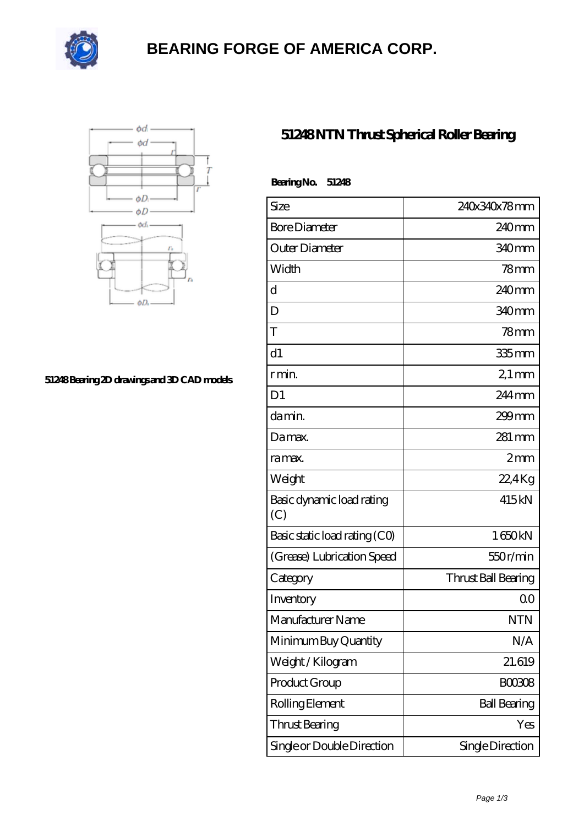

# **[BEARING FORGE OF AMERICA CORP.](https://nskf-bearings.com)**



#### **[51248 Bearing 2D drawings and 3D CAD models](https://nskf-bearings.com/pic-1030230.html)**

### **[51248 NTN Thrust Spherical Roller Bearing](https://nskf-bearings.com/thrust-spherical-roller-bearing/51248.html)**

| BearingNo.<br>51248              |                     |
|----------------------------------|---------------------|
| Size                             | 240x340x78mm        |
| <b>Bore Diameter</b>             | 240mm               |
| Outer Diameter                   | 340mm               |
| Width                            | $78$ mm             |
| d                                | $240$ mm            |
| D                                | 340 <sub>mm</sub>   |
| T                                | 78mm                |
| d1                               | $335$ mm            |
| r min.                           | $21 \,\mathrm{mm}$  |
| D <sub>1</sub>                   | $244$ mm            |
| da min.                          | $299$ mm            |
| Damax.                           | $281$ mm            |
| ra max.                          | 2mm                 |
| Weight                           | $22.4$ Kg           |
| Basic dynamic load rating<br>(C) | 415kN               |
| Basic static load rating (CO)    | 1650kN              |
| (Grease) Lubrication Speed       | 550r/min            |
| Category                         | Thrust Ball Bearing |
| Inventory                        | 0 <sup>0</sup>      |
| Manufacturer Name                | <b>NTN</b>          |
| Minimum Buy Quantity             | N/A                 |
| Weight/Kilogram                  | 21.619              |
| Product Group                    | <b>BOO3O8</b>       |
| Rolling Element                  | <b>Ball Bearing</b> |
| <b>Thrust Bearing</b>            | Yes                 |
| Single or Double Direction       | Single Direction    |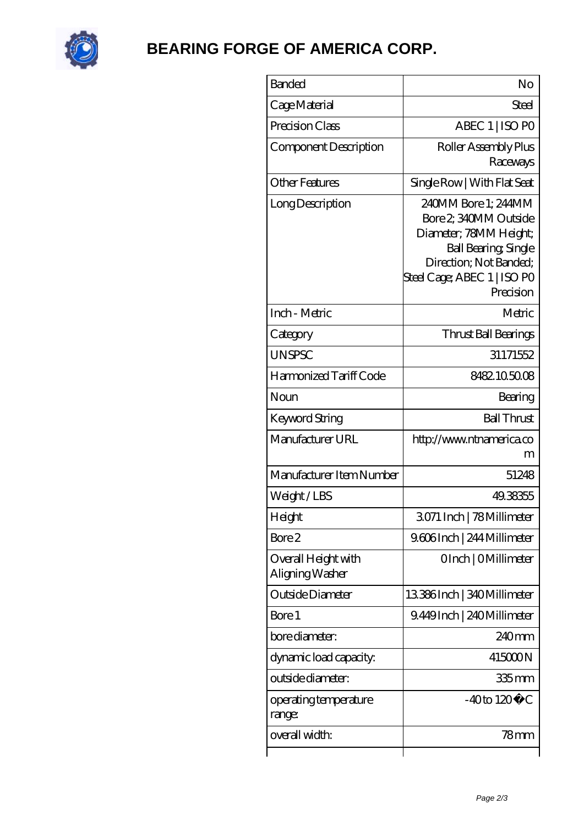

## **[BEARING FORGE OF AMERICA CORP.](https://nskf-bearings.com)**

| <b>Banded</b>                          | No                                                                                                                                                                          |
|----------------------------------------|-----------------------------------------------------------------------------------------------------------------------------------------------------------------------------|
| Cage Material                          | Steel                                                                                                                                                                       |
| Precision Class                        | ABEC 1   ISO PO                                                                                                                                                             |
| Component Description                  | Roller Assembly Plus<br>Raceways                                                                                                                                            |
| Other Features                         | Single Row   With Flat Seat                                                                                                                                                 |
| Long Description                       | 240MM Bore 1; 244MM<br>Bore 2, 340MM Outside<br>Diameter; 78MM Height;<br><b>Ball Bearing, Single</b><br>Direction; Not Banded;<br>Steel Cage; ABEC 1   ISO PO<br>Precision |
| Inch - Metric                          | Metric                                                                                                                                                                      |
| Category                               | Thrust Ball Bearings                                                                                                                                                        |
| <b>UNSPSC</b>                          | 31171552                                                                                                                                                                    |
| Harmonized Tariff Code                 | 8482105008                                                                                                                                                                  |
| Noun                                   | Bearing                                                                                                                                                                     |
| Keyword String                         | <b>Ball Thrust</b>                                                                                                                                                          |
| Manufacturer URL                       | http://www.ntnamerica.co<br>m                                                                                                                                               |
| Manufacturer Item Number               | 51248                                                                                                                                                                       |
| Weight/LBS                             | 49.38355                                                                                                                                                                    |
| Height                                 | 3071 Inch   78 Millimeter                                                                                                                                                   |
| Bore 2                                 | 9.606Inch   244 Millimeter                                                                                                                                                  |
| Overall Height with<br>Aligning Washer | OInch   OMillimeter                                                                                                                                                         |
| Outside Diameter                       | 13386Inch   340Millimeter                                                                                                                                                   |
| Bore 1                                 | 9.449Inch   240Millimeter                                                                                                                                                   |
| bore diameter:                         | 240mm                                                                                                                                                                       |
| dynamic load capacity:                 | 415000N                                                                                                                                                                     |
| outside diameter:                      | 335 mm                                                                                                                                                                      |
| operating temperature<br>range:        | $-40$ to $120^{\circ}$ C                                                                                                                                                    |
| overall width:                         | 78 <sub>mm</sub>                                                                                                                                                            |
|                                        |                                                                                                                                                                             |